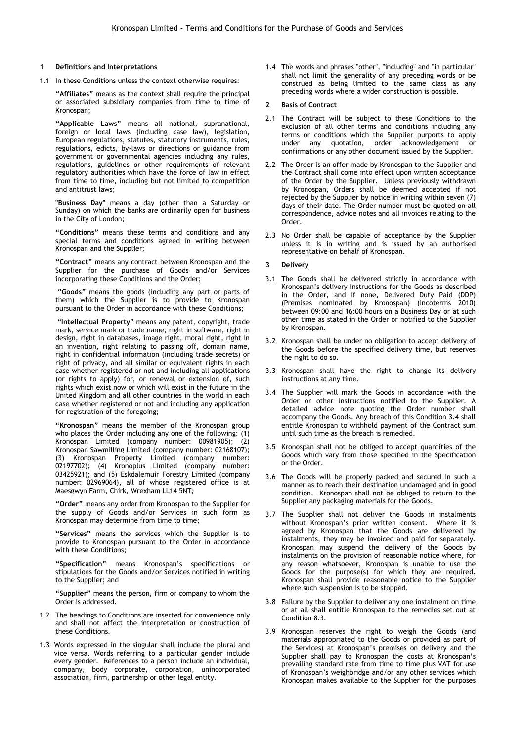## 1 Definitions and Interpretations

1.1 In these Conditions unless the context otherwise requires:

"Affiliates" means as the context shall require the principal or associated subsidiary companies from time to time of Kronospan;

"Applicable Laws" means all national, supranational, foreign or local laws (including case law), legislation, European regulations, statutes, statutory instruments, rules, regulations, edicts, by-laws or directions or guidance from government or governmental agencies including any rules, regulations, guidelines or other requirements of relevant regulatory authorities which have the force of law in effect from time to time, including but not limited to competition and antitrust laws;

"Business Day" means a day (other than a Saturday or Sunday) on which the banks are ordinarily open for business in the City of London;

"Conditions" means these terms and conditions and any special terms and conditions agreed in writing between Kronospan and the Supplier;

"Contract" means any contract between Kronospan and the Supplier for the purchase of Goods and/or Services incorporating these Conditions and the Order;

 "Goods" means the goods (including any part or parts of them) which the Supplier is to provide to Kronospan pursuant to the Order in accordance with these Conditions;

 "Intellectual Property" means any patent, copyright, trade mark, service mark or trade name, right in software, right in design, right in databases, image right, moral right, right in an invention, right relating to passing off, domain name, right in confidential information (including trade secrets) or right of privacy, and all similar or equivalent rights in each case whether registered or not and including all applications (or rights to apply) for, or renewal or extension of, such rights which exist now or which will exist in the future in the United Kingdom and all other countries in the world in each case whether registered or not and including any application for registration of the foregoing;

"Kronospan" means the member of the Kronospan group who places the Order including any one of the following: (1) Kronospan Limited (company number: 00981905); (2) Kronospan Sawmilling Limited (company number: 02168107); (3) Kronospan Property Limited (company number: 02197702); (4) Kronoplus Limited (company number: 03425921); and (5) Eskdalemuir Forestry Limited (company number: 02969064), all of whose registered office is at Maesgwyn Farm, Chirk, Wrexham LL14 5NT;

"Order" means any order from Kronospan to the Supplier for the supply of Goods and/or Services in such form as Kronospan may determine from time to time;

"Services" means the services which the Supplier is to provide to Kronospan pursuant to the Order in accordance with these Conditions;

"Specification" means Kronospan's specifications or stipulations for the Goods and/or Services notified in writing to the Supplier; and

"Supplier" means the person, firm or company to whom the Order is addressed.

- 1.2 The headings to Conditions are inserted for convenience only and shall not affect the interpretation or construction of these Conditions.
- 1.3 Words expressed in the singular shall include the plural and vice versa. Words referring to a particular gender include every gender. References to a person include an individual, company, body corporate, corporation, unincorporated association, firm, partnership or other legal entity.

1.4 The words and phrases "other", "including" and "in particular" shall not limit the generality of any preceding words or be construed as being limited to the same class as any preceding words where a wider construction is possible.

### 2 Basis of Contract

- 2.1 The Contract will be subject to these Conditions to the exclusion of all other terms and conditions including any terms or conditions which the Supplier purports to apply under any quotation, order acknowledgement or confirmations or any other document issued by the Supplier.
- 2.2 The Order is an offer made by Kronospan to the Supplier and the Contract shall come into effect upon written acceptance of the Order by the Supplier. Unless previously withdrawn by Kronospan, Orders shall be deemed accepted if not rejected by the Supplier by notice in writing within seven (7) days of their date. The Order number must be quoted on all correspondence, advice notes and all invoices relating to the Order.
- 2.3 No Order shall be capable of acceptance by the Supplier unless it is in writing and is issued by an authorised representative on behalf of Kronospan.

# **Delivery**

- 3.1 The Goods shall be delivered strictly in accordance with Kronospan's delivery instructions for the Goods as described in the Order, and if none, Delivered Duty Paid (DDP) (Premises nominated by Kronospan) (Incoterms 2010) between 09:00 and 16:00 hours on a Business Day or at such other time as stated in the Order or notified to the Supplier by Kronospan.
- 3.2 Kronospan shall be under no obligation to accept delivery of the Goods before the specified delivery time, but reserves the right to do so.
- 3.3 Kronospan shall have the right to change its delivery instructions at any time.
- 3.4 The Supplier will mark the Goods in accordance with the Order or other instructions notified to the Supplier. A detailed advice note quoting the Order number shall accompany the Goods. Any breach of this Condition 3.4 shall entitle Kronospan to withhold payment of the Contract sum until such time as the breach is remedied.
- 3.5 Kronospan shall not be obliged to accept quantities of the Goods which vary from those specified in the Specification or the Order.
- 3.6 The Goods will be properly packed and secured in such a manner as to reach their destination undamaged and in good condition. Kronospan shall not be obliged to return to the Supplier any packaging materials for the Goods.
- 3.7 The Supplier shall not deliver the Goods in instalments without Kronospan's prior written consent. Where it is agreed by Kronospan that the Goods are delivered by instalments, they may be invoiced and paid for separately. Kronospan may suspend the delivery of the Goods by instalments on the provision of reasonable notice where, for any reason whatsoever, Kronospan is unable to use the Goods for the purpose(s) for which they are required. Kronospan shall provide reasonable notice to the Supplier where such suspension is to be stopped.
- 3.8 Failure by the Supplier to deliver any one instalment on time or at all shall entitle Kronospan to the remedies set out at Condition 8.3.
- 3.9 Kronospan reserves the right to weigh the Goods (and materials appropriated to the Goods or provided as part of the Services) at Kronospan's premises on delivery and the Supplier shall pay to Kronospan the costs at Kronospan's prevailing standard rate from time to time plus VAT for use of Kronospan's weighbridge and/or any other services which Kronospan makes available to the Supplier for the purposes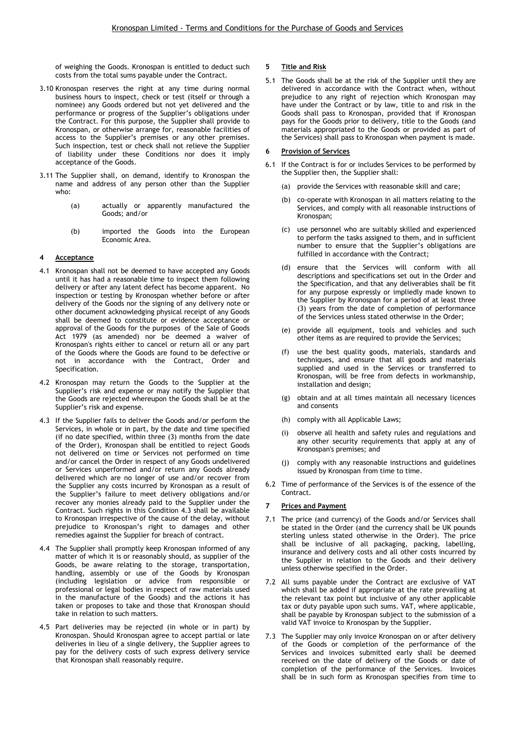of weighing the Goods. Kronospan is entitled to deduct such costs from the total sums payable under the Contract.

- 3.10 Kronospan reserves the right at any time during normal business hours to inspect, check or test (itself or through a nominee) any Goods ordered but not yet delivered and the performance or progress of the Supplier's obligations under the Contract. For this purpose, the Supplier shall provide to Kronospan, or otherwise arrange for, reasonable facilities of access to the Supplier's premises or any other premises. Such inspection, test or check shall not relieve the Supplier of liability under these Conditions nor does it imply acceptance of the Goods.
- 3.11 The Supplier shall, on demand, identify to Kronospan the name and address of any person other than the Supplier who:
	- (a) actually or apparently manufactured the Goods; and/or
	- (b) imported the Goods into the European Economic Area.

#### 4 Acceptance

- 4.1 Kronospan shall not be deemed to have accepted any Goods until it has had a reasonable time to inspect them following delivery or after any latent defect has become apparent. No inspection or testing by Kronospan whether before or after delivery of the Goods nor the signing of any delivery note or other document acknowledging physical receipt of any Goods shall be deemed to constitute or evidence acceptance or approval of the Goods for the purposes of the Sale of Goods Act 1979 (as amended) nor be deemed a waiver of Kronospan's rights either to cancel or return all or any part of the Goods where the Goods are found to be defective or not in accordance with the Contract, Order and Specification.
- 4.2 Kronospan may return the Goods to the Supplier at the Supplier's risk and expense or may notify the Supplier that the Goods are rejected whereupon the Goods shall be at the Supplier's risk and expense.
- 4.3 If the Supplier fails to deliver the Goods and/or perform the Services, in whole or in part, by the date and time specified (if no date specified, within three (3) months from the date of the Order), Kronospan shall be entitled to reject Goods not delivered on time or Services not performed on time and/or cancel the Order in respect of any Goods undelivered or Services unperformed and/or return any Goods already delivered which are no longer of use and/or recover from the Supplier any costs incurred by Kronospan as a result of the Supplier's failure to meet delivery obligations and/or recover any monies already paid to the Supplier under the Contract. Such rights in this Condition 4.3 shall be available to Kronospan irrespective of the cause of the delay, without prejudice to Kronospan's right to damages and other remedies against the Supplier for breach of contract.
- 4.4 The Supplier shall promptly keep Kronospan informed of any matter of which it is or reasonably should, as supplier of the Goods, be aware relating to the storage, transportation, handling, assembly or use of the Goods by Kronospan (including legislation or advice from responsible or professional or legal bodies in respect of raw materials used in the manufacture of the Goods) and the actions it has taken or proposes to take and those that Kronospan should take in relation to such matters.
- 4.5 Part deliveries may be rejected (in whole or in part) by Kronospan. Should Kronospan agree to accept partial or late deliveries in lieu of a single delivery, the Supplier agrees to pay for the delivery costs of such express delivery service that Kronospan shall reasonably require.

### 5 Title and Risk

5.1 The Goods shall be at the risk of the Supplier until they are delivered in accordance with the Contract when, without prejudice to any right of rejection which Kronospan may have under the Contract or by law, title to and risk in the Goods shall pass to Kronospan, provided that if Kronospan pays for the Goods prior to delivery, title to the Goods (and materials appropriated to the Goods or provided as part of the Services) shall pass to Kronospan when payment is made.

## 6 Provision of Services

- 6.1 If the Contract is for or includes Services to be performed by the Supplier then, the Supplier shall:
	- (a) provide the Services with reasonable skill and care;
	- (b) co-operate with Kronospan in all matters relating to the Services, and comply with all reasonable instructions of Kronospan;
	- (c) use personnel who are suitably skilled and experienced to perform the tasks assigned to them, and in sufficient number to ensure that the Supplier's obligations are fulfilled in accordance with the Contract;
	- (d) ensure that the Services will conform with all descriptions and specifications set out in the Order and the Specification, and that any deliverables shall be fit for any purpose expressly or impliedly made known to the Supplier by Kronospan for a period of at least three (3) years from the date of completion of performance of the Services unless stated otherwise in the Order;
	- (e) provide all equipment, tools and vehicles and such other items as are required to provide the Services;
	- (f) use the best quality goods, materials, standards and techniques, and ensure that all goods and materials supplied and used in the Services or transferred to Kronospan, will be free from defects in workmanship, installation and design;
	- (g) obtain and at all times maintain all necessary licences and consents
	- (h) comply with all Applicable Laws;
	- (i) observe all health and safety rules and regulations and any other security requirements that apply at any of Kronospan's premises; and
	- (j) comply with any reasonable instructions and guidelines issued by Kronospan from time to time.
- 6.2 Time of performance of the Services is of the essence of the Contract.

### Prices and Payment

- 7.1 The price (and currency) of the Goods and/or Services shall be stated in the Order (and the currency shall be UK pounds sterling unless stated otherwise in the Order). The price shall be inclusive of all packaging, packing, labelling, insurance and delivery costs and all other costs incurred by the Supplier in relation to the Goods and their delivery unless otherwise specified in the Order.
- 7.2 All sums payable under the Contract are exclusive of VAT which shall be added if appropriate at the rate prevailing at the relevant tax point but inclusive of any other applicable tax or duty payable upon such sums. VAT, where applicable, shall be payable by Kronospan subject to the submission of a valid VAT invoice to Kronospan by the Supplier.
- 7.3 The Supplier may only invoice Kronospan on or after delivery of the Goods or completion of the performance of the Services and invoices submitted early shall be deemed received on the date of delivery of the Goods or date of completion of the performance of the Services. Invoices shall be in such form as Kronospan specifies from time to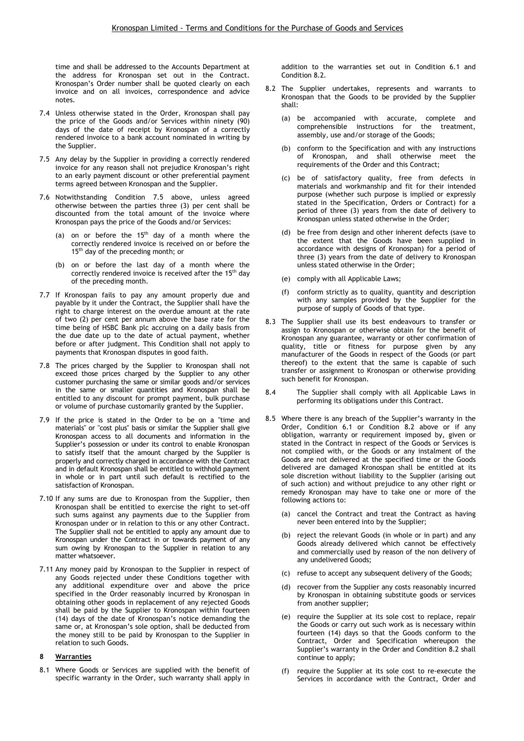time and shall be addressed to the Accounts Department at the address for Kronospan set out in the Contract. Kronospan's Order number shall be quoted clearly on each invoice and on all invoices, correspondence and advice notes.

- 7.4 Unless otherwise stated in the Order, Kronospan shall pay the price of the Goods and/or Services within ninety (90) days of the date of receipt by Kronospan of a correctly rendered invoice to a bank account nominated in writing by the Supplier.
- 7.5 Any delay by the Supplier in providing a correctly rendered invoice for any reason shall not prejudice Kronospan's right to an early payment discount or other preferential payment terms agreed between Kronospan and the Supplier.
- 7.6 Notwithstanding Condition 7.5 above, unless agreed otherwise between the parties three (3) per cent shall be discounted from the total amount of the invoice where Kronospan pays the price of the Goods and/or Services:
	- (a) on or before the  $15<sup>th</sup>$  day of a month where the correctly rendered invoice is received on or before the 15<sup>th</sup> day of the preceding month; or
	- (b) on or before the last day of a month where the correctly rendered invoice is received after the 15<sup>th</sup> day of the preceding month.
- 7.7 If Kronospan fails to pay any amount properly due and payable by it under the Contract, the Supplier shall have the right to charge interest on the overdue amount at the rate of two (2) per cent per annum above the base rate for the time being of HSBC Bank plc accruing on a daily basis from the due date up to the date of actual payment, whether before or after judgment. This Condition shall not apply to payments that Kronospan disputes in good faith.
- 7.8 The prices charged by the Supplier to Kronospan shall not exceed those prices charged by the Supplier to any other customer purchasing the same or similar goods and/or services in the same or smaller quantities and Kronospan shall be entitled to any discount for prompt payment, bulk purchase or volume of purchase customarily granted by the Supplier.
- 7.9 If the price is stated in the Order to be on a "time and materials" or "cost plus" basis or similar the Supplier shall give Kronospan access to all documents and information in the Supplier's possession or under its control to enable Kronospan to satisfy itself that the amount charged by the Supplier is properly and correctly charged in accordance with the Contract and in default Kronospan shall be entitled to withhold payment in whole or in part until such default is rectified to the satisfaction of Kronospan.
- 7.10 If any sums are due to Kronospan from the Supplier, then Kronospan shall be entitled to exercise the right to set-off such sums against any payments due to the Supplier from Kronospan under or in relation to this or any other Contract. The Supplier shall not be entitled to apply any amount due to Kronospan under the Contract in or towards payment of any sum owing by Kronospan to the Supplier in relation to any matter whatsoever.
- 7.11 Any money paid by Kronospan to the Supplier in respect of any Goods rejected under these Conditions together with any additional expenditure over and above the price specified in the Order reasonably incurred by Kronospan in obtaining other goods in replacement of any rejected Goods shall be paid by the Supplier to Kronospan within fourteen (14) days of the date of Kronospan's notice demanding the same or, at Kronospan's sole option, shall be deducted from the money still to be paid by Kronospan to the Supplier in relation to such Goods.

### 8 Warranties

8.1 Where Goods or Services are supplied with the benefit of specific warranty in the Order, such warranty shall apply in addition to the warranties set out in Condition 6.1 and Condition 8.2.

- 8.2 The Supplier undertakes, represents and warrants to Kronospan that the Goods to be provided by the Supplier shall:
	- (a) be accompanied with accurate, complete and comprehensible instructions for the treatment, assembly, use and/or storage of the Goods;
	- (b) conform to the Specification and with any instructions of Kronospan, and shall otherwise meet the requirements of the Order and this Contract;
	- (c) be of satisfactory quality, free from defects in materials and workmanship and fit for their intended purpose (whether such purpose is implied or expressly stated in the Specification, Orders or Contract) for a period of three (3) years from the date of delivery to Kronospan unless stated otherwise in the Order;
	- (d) be free from design and other inherent defects (save to the extent that the Goods have been supplied in accordance with designs of Kronospan) for a period of three (3) years from the date of delivery to Kronospan unless stated otherwise in the Order;
	- (e) comply with all Applicable Laws;
	- (f) conform strictly as to quality, quantity and description with any samples provided by the Supplier for the purpose of supply of Goods of that type.
- 8.3 The Supplier shall use its best endeavours to transfer or assign to Kronospan or otherwise obtain for the benefit of Kronospan any guarantee, warranty or other confirmation of quality, title or fitness for purpose given by any manufacturer of the Goods in respect of the Goods (or part thereof) to the extent that the same is capable of such transfer or assignment to Kronospan or otherwise providing such benefit for Kronospan.
- 8.4 The Supplier shall comply with all Applicable Laws in performing its obligations under this Contract.
- 8.5 Where there is any breach of the Supplier's warranty in the Order, Condition 6.1 or Condition 8.2 above or if any obligation, warranty or requirement imposed by, given or stated in the Contract in respect of the Goods or Services is not complied with, or the Goods or any instalment of the Goods are not delivered at the specified time or the Goods delivered are damaged Kronospan shall be entitled at its sole discretion without liability to the Supplier (arising out of such action) and without prejudice to any other right or remedy Kronospan may have to take one or more of the following actions to:
	- (a) cancel the Contract and treat the Contract as having never been entered into by the Supplier;
	- (b) reject the relevant Goods (in whole or in part) and any Goods already delivered which cannot be effectively and commercially used by reason of the non delivery of any undelivered Goods;
	- (c) refuse to accept any subsequent delivery of the Goods;
	- (d) recover from the Supplier any costs reasonably incurred by Kronospan in obtaining substitute goods or services from another supplier;
	- (e) require the Supplier at its sole cost to replace, repair the Goods or carry out such work as is necessary within fourteen (14) days so that the Goods conform to the Contract, Order and Specification whereupon the Supplier's warranty in the Order and Condition 8.2 shall continue to apply;
	- require the Supplier at its sole cost to re-execute the Services in accordance with the Contract, Order and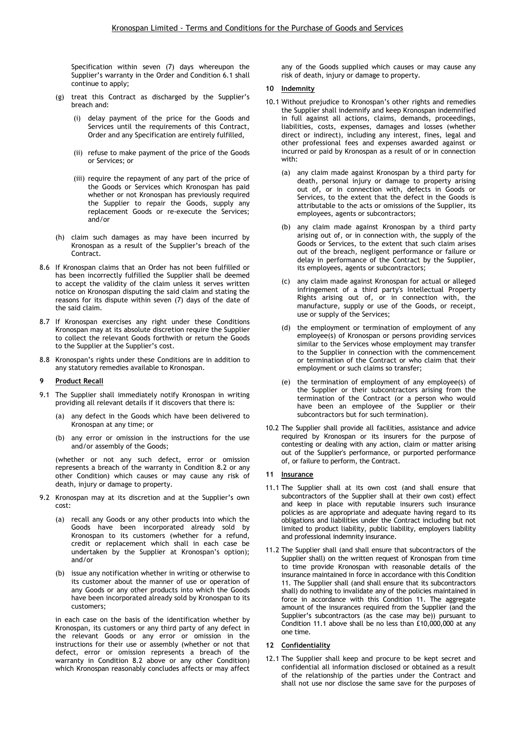Specification within seven (7) days whereupon the Supplier's warranty in the Order and Condition 6.1 shall continue to apply;

- (g) treat this Contract as discharged by the Supplier's breach and:
	- (i) delay payment of the price for the Goods and Services until the requirements of this Contract, Order and any Specification are entirely fulfilled,
	- (ii) refuse to make payment of the price of the Goods or Services; or
	- (iii) require the repayment of any part of the price of the Goods or Services which Kronospan has paid whether or not Kronospan has previously required the Supplier to repair the Goods, supply any replacement Goods or re-execute the Services; and/or
- (h) claim such damages as may have been incurred by Kronospan as a result of the Supplier's breach of the Contract.
- 8.6 If Kronospan claims that an Order has not been fulfilled or has been incorrectly fulfilled the Supplier shall be deemed to accept the validity of the claim unless it serves written notice on Kronospan disputing the said claim and stating the reasons for its dispute within seven (7) days of the date of the said claim.
- 8.7 If Kronospan exercises any right under these Conditions Kronospan may at its absolute discretion require the Supplier to collect the relevant Goods forthwith or return the Goods to the Supplier at the Supplier's cost.
- 8.8 Kronospan's rights under these Conditions are in addition to any statutory remedies available to Kronospan.

#### 9 Product Recall

- 9.1 The Supplier shall immediately notify Kronospan in writing providing all relevant details if it discovers that there is:
	- (a) any defect in the Goods which have been delivered to Kronospan at any time; or
	- (b) any error or omission in the instructions for the use and/or assembly of the Goods;

(whether or not any such defect, error or omission represents a breach of the warranty in Condition 8.2 or any other Condition) which causes or may cause any risk of death, injury or damage to property.

- 9.2 Kronospan may at its discretion and at the Supplier's own cost:
	- (a) recall any Goods or any other products into which the Goods have been incorporated already sold by Kronospan to its customers (whether for a refund, credit or replacement which shall in each case be undertaken by the Supplier at Kronospan's option); and/or
	- (b) issue any notification whether in writing or otherwise to its customer about the manner of use or operation of any Goods or any other products into which the Goods have been incorporated already sold by Kronospan to its customers;

in each case on the basis of the identification whether by Kronospan, its customers or any third party of any defect in the relevant Goods or any error or omission in the instructions for their use or assembly (whether or not that defect, error or omission represents a breach of the warranty in Condition 8.2 above or any other Condition) which Kronospan reasonably concludes affects or may affect any of the Goods supplied which causes or may cause any risk of death, injury or damage to property.

### 10 Indemnity

- 10.1 Without prejudice to Kronospan's other rights and remedies the Supplier shall indemnify and keep Kronospan indemnified in full against all actions, claims, demands, proceedings, liabilities, costs, expenses, damages and losses (whether direct or indirect), including any interest, fines, legal and other professional fees and expenses awarded against or incurred or paid by Kronospan as a result of or in connection with:
	- (a) any claim made against Kronospan by a third party for death, personal injury or damage to property arising out of, or in connection with, defects in Goods or Services, to the extent that the defect in the Goods is attributable to the acts or omissions of the Supplier, its employees, agents or subcontractors;
	- (b) any claim made against Kronospan by a third party arising out of, or in connection with, the supply of the Goods or Services, to the extent that such claim arises out of the breach, negligent performance or failure or delay in performance of the Contract by the Supplier, its employees, agents or subcontractors;
	- (c) any claim made against Kronospan for actual or alleged infringement of a third party's Intellectual Property Rights arising out of, or in connection with, the manufacture, supply or use of the Goods, or receipt, use or supply of the Services;
	- (d) the employment or termination of employment of any employee(s) of Kronospan or persons providing services similar to the Services whose employment may transfer to the Supplier in connection with the commencement or termination of the Contract or who claim that their employment or such claims so transfer;
	- (e) the termination of employment of any employee(s) of the Supplier or their subcontractors arising from the termination of the Contract (or a person who would have been an employee of the Supplier or their subcontractors but for such termination).
- 10.2 The Supplier shall provide all facilities, assistance and advice required by Kronospan or its insurers for the purpose of contesting or dealing with any action, claim or matter arising out of the Supplier's performance, or purported performance of, or failure to perform, the Contract.

## 11 **Insurance**

- 11.1 The Supplier shall at its own cost (and shall ensure that subcontractors of the Supplier shall at their own cost) effect and keep in place with reputable insurers such insurance policies as are appropriate and adequate having regard to its obligations and liabilities under the Contract including but not limited to product liability, public liability, employers liability and professional indemnity insurance.
- 11.2 The Supplier shall (and shall ensure that subcontractors of the Supplier shall) on the written request of Kronospan from time to time provide Kronospan with reasonable details of the insurance maintained in force in accordance with this Condition 11. The Supplier shall (and shall ensure that its subcontractors shall) do nothing to invalidate any of the policies maintained in force in accordance with this Condition 11. The aggregate amount of the insurances required from the Supplier (and the Supplier's subcontractors (as the case may be)) pursuant to Condition 11.1 above shall be no less than £10,000,000 at any one time.

### 12 Confidentiality

12.1 The Supplier shall keep and procure to be kept secret and confidential all information disclosed or obtained as a result of the relationship of the parties under the Contract and shall not use nor disclose the same save for the purposes of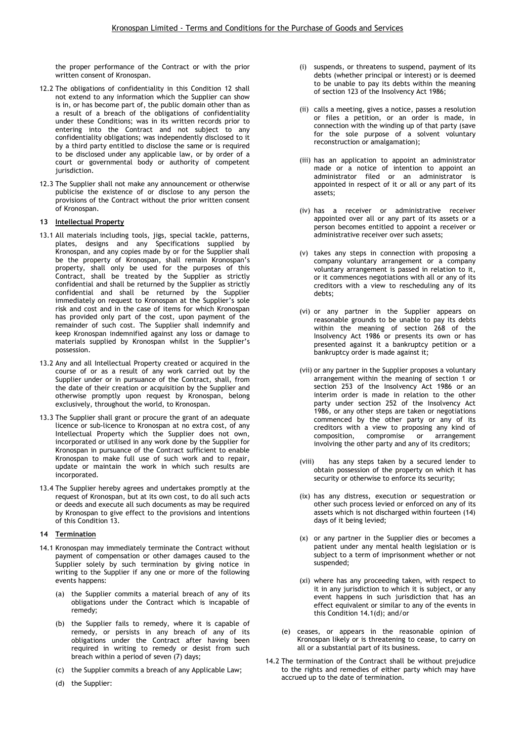the proper performance of the Contract or with the prior written consent of Kronospan.

- 12.2 The obligations of confidentiality in this Condition 12 shall not extend to any information which the Supplier can show is in, or has become part of, the public domain other than as a result of a breach of the obligations of confidentiality under these Conditions; was in its written records prior to entering into the Contract and not subject to any confidentiality obligations; was independently disclosed to it by a third party entitled to disclose the same or is required to be disclosed under any applicable law, or by order of a court or governmental body or authority of competent jurisdiction.
- 12.3 The Supplier shall not make any announcement or otherwise publicise the existence of or disclose to any person the provisions of the Contract without the prior written consent of Kronospan.

### 13 Intellectual Property

- 13.1 All materials including tools, jigs, special tackle, patterns, plates, designs and any Specifications supplied by Kronospan, and any copies made by or for the Supplier shall be the property of Kronospan, shall remain Kronospan's property, shall only be used for the purposes of this Contract, shall be treated by the Supplier as strictly confidential and shall be returned by the Supplier as strictly confidential and shall be returned by the Supplier immediately on request to Kronospan at the Supplier's sole risk and cost and in the case of items for which Kronospan has provided only part of the cost, upon payment of the remainder of such cost. The Supplier shall indemnify and keep Kronospan indemnified against any loss or damage to materials supplied by Kronospan whilst in the Supplier's possession.
- 13.2 Any and all Intellectual Property created or acquired in the course of or as a result of any work carried out by the Supplier under or in pursuance of the Contract, shall, from the date of their creation or acquisition by the Supplier and otherwise promptly upon request by Kronospan, belong exclusively, throughout the world, to Kronospan.
- 13.3 The Supplier shall grant or procure the grant of an adequate licence or sub-licence to Kronospan at no extra cost, of any Intellectual Property which the Supplier does not own, incorporated or utilised in any work done by the Supplier for Kronospan in pursuance of the Contract sufficient to enable Kronospan to make full use of such work and to repair, update or maintain the work in which such results are incorporated.
- 13.4 The Supplier hereby agrees and undertakes promptly at the request of Kronospan, but at its own cost, to do all such acts or deeds and execute all such documents as may be required by Kronospan to give effect to the provisions and intentions of this Condition 13.

#### 14 Termination

- 14.1 Kronospan may immediately terminate the Contract without payment of compensation or other damages caused to the Supplier solely by such termination by giving notice in writing to the Supplier if any one or more of the following events happens:
	- (a) the Supplier commits a material breach of any of its obligations under the Contract which is incapable of remedy;
	- (b) the Supplier fails to remedy, where it is capable of remedy, or persists in any breach of any of its obligations under the Contract after having been required in writing to remedy or desist from such breach within a period of seven (7) days;
	- (c) the Supplier commits a breach of any Applicable Law;
	- (d) the Supplier:
- (i) suspends, or threatens to suspend, payment of its debts (whether principal or interest) or is deemed to be unable to pay its debts within the meaning of section 123 of the Insolvency Act 1986;
- (ii) calls a meeting, gives a notice, passes a resolution or files a petition, or an order is made, in connection with the winding up of that party (save for the sole purpose of a solvent voluntary reconstruction or amalgamation);
- (iii) has an application to appoint an administrator made or a notice of intention to appoint an administrator filed or an administrator is appointed in respect of it or all or any part of its assets;
- (iv) has a receiver or administrative receiver appointed over all or any part of its assets or a person becomes entitled to appoint a receiver or administrative receiver over such assets;
- (v) takes any steps in connection with proposing a company voluntary arrangement or a company voluntary arrangement is passed in relation to it, or it commences negotiations with all or any of its creditors with a view to rescheduling any of its debts;
- (vi) or any partner in the Supplier appears on reasonable grounds to be unable to pay its debts within the meaning of section 268 of the Insolvency Act 1986 or presents its own or has presented against it a bankruptcy petition or a bankruptcy order is made against it;
- (vii) or any partner in the Supplier proposes a voluntary arrangement within the meaning of section 1 or section 253 of the Insolvency Act 1986 or an interim order is made in relation to the other party under section 252 of the Insolvency Act 1986, or any other steps are taken or negotiations commenced by the other party or any of its creditors with a view to proposing any kind of composition, compromise or arrangement involving the other party and any of its creditors;
- (viii) has any steps taken by a secured lender to obtain possession of the property on which it has security or otherwise to enforce its security;
- (ix) has any distress, execution or sequestration or other such process levied or enforced on any of its assets which is not discharged within fourteen (14) days of it being levied;
- (x) or any partner in the Supplier dies or becomes a patient under any mental health legislation or is subject to a term of imprisonment whether or not suspended;
- (xi) where has any proceeding taken, with respect to it in any jurisdiction to which it is subject, or any event happens in such jurisdiction that has an effect equivalent or similar to any of the events in this Condition 14.1(d); and/or
- (e) ceases, or appears in the reasonable opinion of Kronospan likely or is threatening to cease, to carry on all or a substantial part of its business.
- 14.2 The termination of the Contract shall be without prejudice to the rights and remedies of either party which may have accrued up to the date of termination.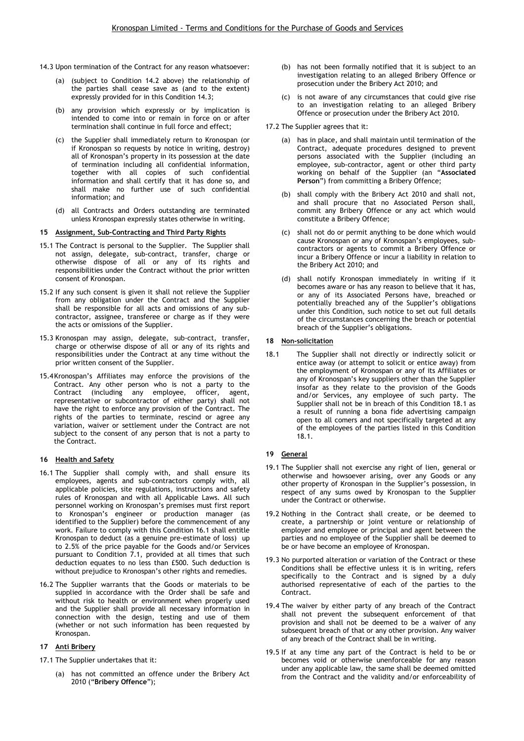- 14.3 Upon termination of the Contract for any reason whatsoever:
	- (a) (subject to Condition 14.2 above) the relationship of the parties shall cease save as (and to the extent) expressly provided for in this Condition 14.3;
	- (b) any provision which expressly or by implication is intended to come into or remain in force on or after termination shall continue in full force and effect;
	- (c) the Supplier shall immediately return to Kronospan (or if Kronospan so requests by notice in writing, destroy) all of Kronospan's property in its possession at the date of termination including all confidential information, together with all copies of such confidential information and shall certify that it has done so, and shall make no further use of such confidential information; and
	- (d) all Contracts and Orders outstanding are terminated unless Kronospan expressly states otherwise in writing.

### 15 Assignment, Sub-Contracting and Third Party Rights

- 15.1 The Contract is personal to the Supplier. The Supplier shall not assign, delegate, sub-contract, transfer, charge or otherwise dispose of all or any of its rights and responsibilities under the Contract without the prior written consent of Kronospan.
- 15.2 If any such consent is given it shall not relieve the Supplier from any obligation under the Contract and the Supplier shall be responsible for all acts and omissions of any subcontractor, assignee, transferee or charge as if they were the acts or omissions of the Supplier.
- 15.3 Kronospan may assign, delegate, sub-contract, transfer, charge or otherwise dispose of all or any of its rights and responsibilities under the Contract at any time without the prior written consent of the Supplier.
- 15.4Kronospan's Affiliates may enforce the provisions of the Contract. Any other person who is not a party to the Contract (including any employee, officer, agent, representative or subcontractor of either party) shall not have the right to enforce any provision of the Contract. The rights of the parties to terminate, rescind or agree any variation, waiver or settlement under the Contract are not subject to the consent of any person that is not a party to the Contract.

### 16 Health and Safety

- 16.1 The Supplier shall comply with, and shall ensure its employees, agents and sub-contractors comply with, all applicable policies, site regulations, instructions and safety rules of Kronospan and with all Applicable Laws. All such personnel working on Kronospan's premises must first report to Kronospan's engineer or production manager (as identified to the Supplier) before the commencement of any work. Failure to comply with this Condition 16.1 shall entitle Kronospan to deduct (as a genuine pre-estimate of loss) up to 2.5% of the price payable for the Goods and/or Services pursuant to Condition 7.1, provided at all times that such deduction equates to no less than £500. Such deduction is without prejudice to Kronospan's other rights and remedies.
- 16.2 The Supplier warrants that the Goods or materials to be supplied in accordance with the Order shall be safe and without risk to health or environment when properly used and the Supplier shall provide all necessary information in connection with the design, testing and use of them (whether or not such information has been requested by Kronospan.

### 17 Anti Bribery

- 17.1 The Supplier undertakes that it:
	- (a) has not committed an offence under the Bribery Act 2010 ("Bribery Offence");
- (b) has not been formally notified that it is subject to an investigation relating to an alleged Bribery Offence or prosecution under the Bribery Act 2010; and
- (c) is not aware of any circumstances that could give rise to an investigation relating to an alleged Bribery Offence or prosecution under the Bribery Act 2010.
- 17.2 The Supplier agrees that it:
	- (a) has in place, and shall maintain until termination of the Contract, adequate procedures designed to prevent persons associated with the Supplier (including an employee, sub-contractor, agent or other third party working on behalf of the Supplier (an "Associated Person") from committing a Bribery Offence;
	- (b) shall comply with the Bribery Act 2010 and shall not, and shall procure that no Associated Person shall, commit any Bribery Offence or any act which would constitute a Bribery Offence;
	- (c) shall not do or permit anything to be done which would cause Kronospan or any of Kronospan's employees, subcontractors or agents to commit a Bribery Offence or incur a Bribery Offence or incur a liability in relation to the Bribery Act 2010; and
	- (d) shall notify Kronospan immediately in writing if it becomes aware or has any reason to believe that it has, or any of its Associated Persons have, breached or potentially breached any of the Supplier's obligations under this Condition, such notice to set out full details of the circumstances concerning the breach or potential breach of the Supplier's obligations.

### 18 Non-solicitation

18.1 The Supplier shall not directly or indirectly solicit or entice away (or attempt to solicit or entice away) from the employment of Kronospan or any of its Affiliates or any of Kronospan's key suppliers other than the Supplier insofar as they relate to the provision of the Goods and/or Services, any employee of such party. The Supplier shall not be in breach of this Condition 18.1 as a result of running a bona fide advertising campaign open to all comers and not specifically targeted at any of the employees of the parties listed in this Condition 18.1.

## 19 General

- 19.1 The Supplier shall not exercise any right of lien, general or otherwise and howsoever arising, over any Goods or any other property of Kronospan in the Supplier's possession, in respect of any sums owed by Kronospan to the Supplier under the Contract or otherwise.
- 19.2 Nothing in the Contract shall create, or be deemed to create, a partnership or joint venture or relationship of employer and employee or principal and agent between the parties and no employee of the Supplier shall be deemed to be or have become an employee of Kronospan.
- 19.3 No purported alteration or variation of the Contract or these Conditions shall be effective unless it is in writing, refers specifically to the Contract and is signed by a duly authorised representative of each of the parties to the Contract.
- 19.4 The waiver by either party of any breach of the Contract shall not prevent the subsequent enforcement of that provision and shall not be deemed to be a waiver of any subsequent breach of that or any other provision. Any waiver of any breach of the Contract shall be in writing.
- 19.5 If at any time any part of the Contract is held to be or becomes void or otherwise unenforceable for any reason under any applicable law, the same shall be deemed omitted from the Contract and the validity and/or enforceability of